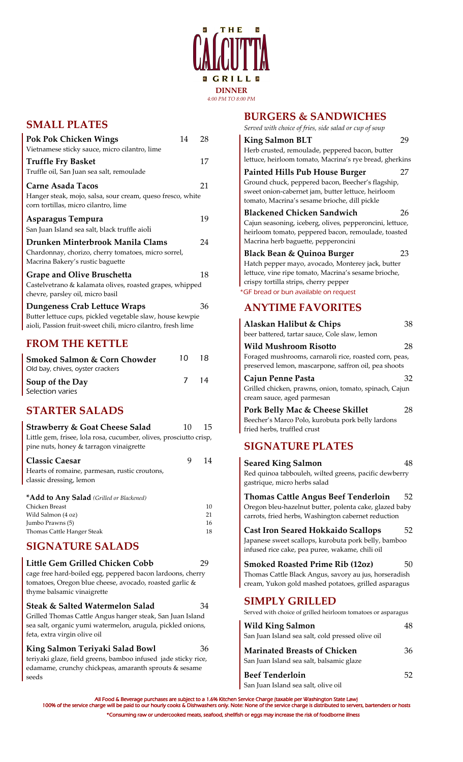

# **SMALL PLATES**

| <b>Pok Pok Chicken Wings</b>                                                                                                                                     | 14 | 28 |
|------------------------------------------------------------------------------------------------------------------------------------------------------------------|----|----|
| Vietnamese sticky sauce, micro cilantro, lime                                                                                                                    |    |    |
| <b>Truffle Fry Basket</b>                                                                                                                                        |    | 17 |
| Truffle oil, San Juan sea salt, remoulade                                                                                                                        |    |    |
| Carne Asada Tacos                                                                                                                                                |    | 21 |
| Hanger steak, mojo, salsa, sour cream, queso fresco, white<br>corn tortillas, micro cilantro, lime                                                               |    |    |
| Asparagus Tempura<br>San Juan Island sea salt, black truffle aioli                                                                                               |    | 19 |
| Drunken Minterbrook Manila Clams<br>Chardonnay, chorizo, cherry tomatoes, micro sorrel,<br>Macrina Bakery's rustic baguette                                      |    | 24 |
| Grape and Olive Bruschetta<br>Castelvetrano & kalamata olives, roasted grapes, whipped<br>chevre, parsley oil, micro basil                                       |    | 18 |
| <b>Dungeness Crab Lettuce Wraps</b><br>Butter lettuce cups, pickled vegetable slaw, house kewpie<br>aioli, Passion fruit-sweet chili, micro cilantro, fresh lime |    | 36 |

# **FROM THE KETTLE**

| <b>Smoked Salmon &amp; Corn Chowder</b><br>Old bay, chives, oyster crackers | 10 | 18. |
|-----------------------------------------------------------------------------|----|-----|
| Soup of the Day                                                             | 7  | 14  |
| Selection varies                                                            |    |     |

# **STARTER SALADS**

| <b>Strawberry &amp; Goat Cheese Salad</b>                                                                     | 10 | 15 |
|---------------------------------------------------------------------------------------------------------------|----|----|
| Little gem, frisee, lola rosa, cucumber, olives, prosciutto crisp,<br>pine nuts, honey & tarragon vinaigrette |    |    |
| <b>Classic Caesar</b><br>Hearts of romaine, parmesan, rustic croutons,<br>classic dressing, lemon             | 9  | 14 |
| * <b>Add to Any Salad</b> (Grilled or Blackened)                                                              |    |    |
| Chicken Breast                                                                                                |    | 10 |
| Wild Salmon (4 oz)                                                                                            |    | 21 |
| Jumbo Prawns (5)                                                                                              |    | 16 |
| Thomas Cattle Hanger Steak                                                                                    |    | 18 |

# **SIGNATURE SALADS**

| Little Gem Grilled Chicken Cobb                            | 29 |
|------------------------------------------------------------|----|
| cage free hard-boiled egg, peppered bacon lardoons, cherry |    |
| tomatoes, Oregon blue cheese, avocado, roasted garlic &    |    |
| thyme balsamic vinaigrette                                 |    |

**Steak & Salted Watermelon Salad** 34 Grilled Thomas Cattle Angus hanger steak, San Juan Island sea salt, organic yumi watermelon, arugula, pickled onions, feta, extra virgin olive oil

**King Salmon Teriyaki Salad Bowl** 36 teriyaki glaze, field greens, bamboo infused jade sticky rice, edamame, crunchy chickpeas, amaranth sprouts & sesame seeds

## **BURGERS & SANDWICHES**

*Served with choice of fries, side salad or cup of soup* 

| Served with choice of fries, side suida or cup of soup                                                                                                   |    |
|----------------------------------------------------------------------------------------------------------------------------------------------------------|----|
| <b>King Salmon BLT</b>                                                                                                                                   |    |
| Herb crusted, remoulade, peppered bacon, butter<br>lettuce, heirloom tomato, Macrina's rye bread, gherkins                                               |    |
| <b>Painted Hills Pub House Burger</b>                                                                                                                    | 27 |
| Ground chuck, peppered bacon, Beecher's flagship,<br>sweet onion-cabernet jam, butter lettuce, heirloom<br>tomato, Macrina's sesame brioche, dill pickle |    |
| <b>Blackened Chicken Sandwich</b>                                                                                                                        | 26 |
| Cajun seasoning, iceberg, olives, pepperoncini, lettuce,<br>heirloom tomato, peppered bacon, remoulade, toasted                                          |    |
| Macrina herb baguette, pepperoncini                                                                                                                      |    |
| Black Bean & Quinoa Burger                                                                                                                               | 23 |
| Hatch pepper mayo, avocado, Monterey jack, butter                                                                                                        |    |
| lettuce, vine ripe tomato, Macrina's sesame brioche,                                                                                                     |    |
| crispy tortilla strips, cherry pepper                                                                                                                    |    |
| *GF bread or bun available on request                                                                                                                    |    |
|                                                                                                                                                          |    |

# **ANYTIME FAVORITES**

| Alaskan Halibut & Chips<br>beer battered, tartar sauce, Cole slaw, lemon                                                                                    | 38 |
|-------------------------------------------------------------------------------------------------------------------------------------------------------------|----|
| <b>Wild Mushroom Risotto</b><br>Foraged mushrooms, carnaroli rice, roasted corn, peas,<br>preserved lemon, mascarpone, saffron oil, pea shoots              | 28 |
| Cajun Penne Pasta<br>Grilled chicken, prawns, onion, tomato, spinach, Cajun<br>cream sauce, aged parmesan                                                   | 32 |
| <b>Pork Belly Mac &amp; Cheese Skillet</b><br>Beecher's Marco Polo, kurobuta pork belly lardons<br>fried herbs, truffled crust                              | 28 |
| <b>SIGNATURE PLATES</b>                                                                                                                                     |    |
| <b>Seared King Salmon</b><br>Red quinoa tabbouleh, wilted greens, pacific dewberry<br>gastrique, micro herbs salad                                          | 48 |
| <b>Thomas Cattle Angus Beef Tenderloin</b><br>Oregon bleu-hazelnut butter, polenta cake, glazed baby<br>carrots, fried herbs, Washington cabernet reduction | 52 |
| <b>Cast Iron Seared Hokkaido Scallops</b><br>Japanese sweet scallops, kurobuta pork belly, bamboo<br>infused rice cake, pea puree, wakame, chili oil        | 52 |
| <b>Smoked Roasted Prime Rib (12oz)</b><br>Thomas Cattle Black Angus, savory au jus, horseradish<br>cream, Yukon gold mashed potatoes, grilled asparagus     | 50 |
| <b>SIMPLY GRILLED</b><br>Served with choice of grilled heirloom tomatoes or asparagus                                                                       |    |
| <b>Wild King Salmon</b><br>San Juan Island sea salt, cold pressed olive oil                                                                                 | 48 |
|                                                                                                                                                             |    |

| <b>Marinated Breasts of Chicken</b>      | 36 |
|------------------------------------------|----|
| San Juan Island sea salt, balsamic glaze |    |
| <b>Beef Tenderloin</b>                   | 52 |
| San Juan Island sea salt, olive oil      |    |

All Food & Beverage purchases are subject to a 1.6% Kitchen Service Charge (taxable per Washington State Law)<br>100% of the service charge will be paid to our hourly cooks & Dishwashers only. Note: None of the service charge \*Consuming raw or undercooked meats, seafood, shellfish or eggs may increase the risk of foodborne illness